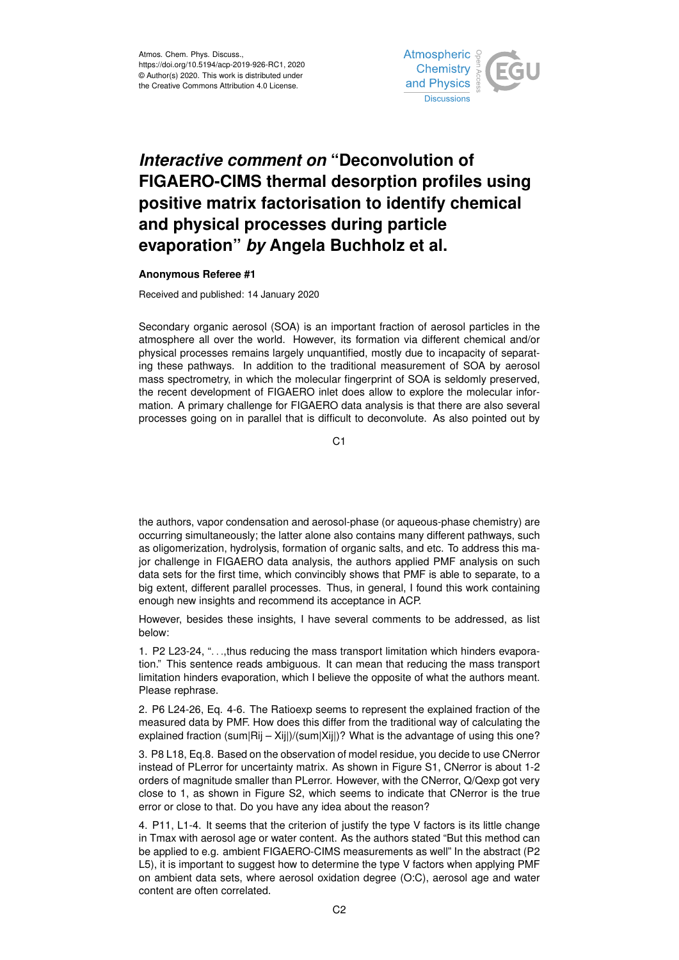

## *Interactive comment on* **"Deconvolution of FIGAERO-CIMS thermal desorption profiles using positive matrix factorisation to identify chemical and physical processes during particle evaporation"** *by* **Angela Buchholz et al.**

## **Anonymous Referee #1**

Received and published: 14 January 2020

Secondary organic aerosol (SOA) is an important fraction of aerosol particles in the atmosphere all over the world. However, its formation via different chemical and/or physical processes remains largely unquantified, mostly due to incapacity of separating these pathways. In addition to the traditional measurement of SOA by aerosol mass spectrometry, in which the molecular fingerprint of SOA is seldomly preserved, the recent development of FIGAERO inlet does allow to explore the molecular information. A primary challenge for FIGAERO data analysis is that there are also several processes going on in parallel that is difficult to deconvolute. As also pointed out by

 $C<sub>1</sub>$ 

the authors, vapor condensation and aerosol-phase (or aqueous-phase chemistry) are occurring simultaneously; the latter alone also contains many different pathways, such as oligomerization, hydrolysis, formation of organic salts, and etc. To address this major challenge in FIGAERO data analysis, the authors applied PMF analysis on such data sets for the first time, which convincibly shows that PMF is able to separate, to a big extent, different parallel processes. Thus, in general, I found this work containing enough new insights and recommend its acceptance in ACP.

However, besides these insights, I have several comments to be addressed, as list below:

1. P2 L23-24, ". . .,thus reducing the mass transport limitation which hinders evaporation." This sentence reads ambiguous. It can mean that reducing the mass transport limitation hinders evaporation, which I believe the opposite of what the authors meant. Please rephrase.

2. P6 L24-26, Eq. 4-6. The Ratioexp seems to represent the explained fraction of the measured data by PMF. How does this differ from the traditional way of calculating the explained fraction (sum|Rij – Xij|)/(sum|Xij|)? What is the advantage of using this one?

3. P8 L18, Eq.8. Based on the observation of model residue, you decide to use CNerror instead of PLerror for uncertainty matrix. As shown in Figure S1, CNerror is about 1-2 orders of magnitude smaller than PLerror. However, with the CNerror, Q/Qexp got very close to 1, as shown in Figure S2, which seems to indicate that CNerror is the true error or close to that. Do you have any idea about the reason?

4. P11, L1-4. It seems that the criterion of justify the type V factors is its little change in Tmax with aerosol age or water content. As the authors stated "But this method can be applied to e.g. ambient FIGAERO-CIMS measurements as well" In the abstract (P2 L5), it is important to suggest how to determine the type V factors when applying PMF on ambient data sets, where aerosol oxidation degree (O:C), aerosol age and water content are often correlated.